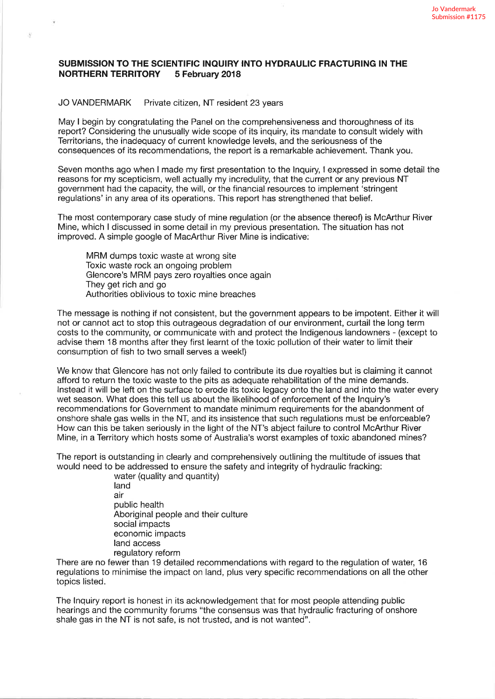## SUBMISSION TO THE SCIENTIFIC INQUIRY INTO HYDRAULIC FRACTURING IN THE NORTHERN TERRITORY 5 February 2018

## JO VANDERMARK Private citizen, NT resident 23 years

ó.

May I begin by congratulating the Panel on the comprehensiveness and thoroughness of its report? Considering the unusually wide scope of its inquiry its mandate to consult widely with Territorians, the inadequacy of current knowledge levels, and the seriousness of the consequences of its recommendations, the repod ís a remarkable achievement. Thank you.

Seven months ago when I made my first presentation to the lnquiry, I expressed in some detail the reasons for my scepticism, well actually my incredulity, that the current or any previous NT government had the capacity, the will, or the financial resources to implement 'stringent regulations' in any area of its operations. This report has strengthened that belief.

The most contemporary case study of mine regulation (or the absence thereof) is McArthur River Mine, which I discussed in some detail in my previous presentation. The situation has not improved. A simple google of MacArthur River Mine is indicative:

MRM dumps toxic waste at wrong site Toxic waste rock an ongoing problem Glencore's MRM pays zero royalties once again They get rich and go Authorities oblivious to toxic mine breaches

The message is nothing if not consistent, but the government appears to be impotent. Either it will not or cannot act to stop this outrageous degradation of our environment, curtail the long term costs to the community, or communicate with and protect the lndigenous landowners - (except to advise them 18 months after they first learnt of the toxic pollution of their water to limit their consumption of fish to two small serves a week!)

We know that Glencore has not only failed to contribute its due royalties but is claiming it cannot afford to return the toxic waste to the pits as adequate rehabilitation of the mine demands. lnstead it will be left on the surface to erode its toxic legacy onto the land and into the water every wet season. What does this tell us about the likelihood of enforcement of the lnquiry's recommendations for Government to mandate minimum requirements for the abandonment of onshore shale gas wells in the NT, and its insistence that such regulations must be enforceable? How can this be taken seriously in the light of the NT's abject failure to control McArthur River Mine, in a Territory which hosts some of Australia's worst examples of toxic abandoned mines?

The report is outstanding in clearly and comprehensively outlining the multitude of issues that would need to be addressed to ensure the safety and integrity of hydraulic fracking:

water (quality and quantity) land air public health Aboriginai people and their culture social impacts economic impacts land access regulatory reform

There are no fewer than 19 detailed recommendations with regard to the regulation of water, 16 regulations to minimise the impact on land, plus very specific recommendations on all the other topics listed.

The lnquiry report is honest in its acknowledgement that for most people attending public hearings and the community forums "the consensus was that hydraulic fracturing of onshore shale gas in the NT is not safe, is not trusted, and is not wanted".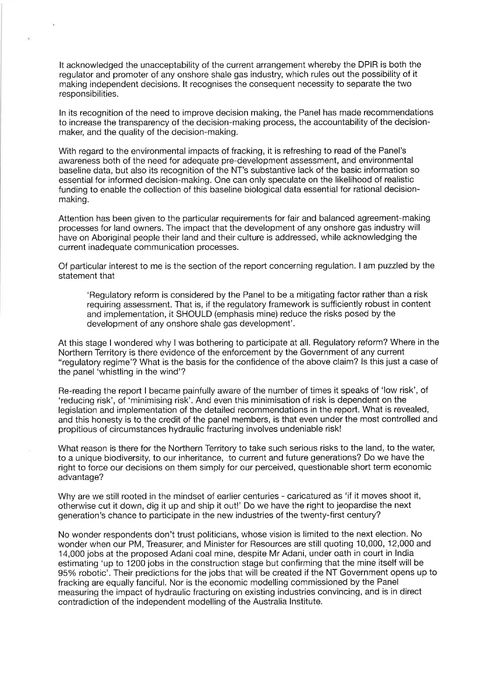It acknowledged the unacceptability of the current arrangement whereby the DPIR is both the regulator and promoter of any onshore shale gas industry, which rules out the possibility of it making independent decisions. lt recognises the consequent necessity to separate the two responsibilities.

ü.

ln its recognition of the need to improve decision making, the Panel has made recommendations to increase the transparency of the decision-making process, the accountability of the decisionmaker, and the quality of the decision-making.

With regard to the environmental impacts of fracking, it is refreshing to read of the Panel's awareness both of the need for adequate pre-development assessment, and environmental baseline data, but also its recognition of the NT's substantive lack of the basic information so essential for informed decision-making. One can only speculate on the likelihood of realistic funding to enable the collection of this baseline biological data essential for rational decisionmaking.

Attention has been given to the particular requirements for fair and balanced agreement-making processes for land owners. The impact that the development of any onshore gas industry will have on Aboriginal people their land and their culture is addressed, while acknowledging the current inadequate communication processes.

Of particular interest to me is the section of the report concerning regulation. I am puzzled by the statement that

'Regulatory reform is considered by the Panel to be a mitigating factor rather than a risk requiring assessment. That is, if the regulatory framework is sufficiently robust in content and implementation, it SHOULD (emphasis mine) reduce the risks posed by the development of any onshore shale gas development'.

At this stage I wondered why I was bothering to participate at all. Regulatory reform? Where in the Northern Territory is there evidence of the enforcement by the Government of any current "regulatory regime'? What is the basis for the confidence of the above claim? ls this just a case of the panel 'whistling in the wind'?

Re-reading the report I became painfully aware of the number of times it speaks of 'low risk', of 'reducing rísk', of 'minimising risk'. And even this minimisation of risk is dependent on the legislation and implementation of the detailed recommendations in the report. What is revealed, and this honesty is to the credit of the panel members, is that even under the most controlled and propitious of circumstances hydraulic fracturing involves undeniable risk!

What reason is there for the Northern Territory to take such serious risks to the land, to the water, to a unique biodiversity, to our inheritance, to current and future generations? Do we have the right to force our decisions on them simply for our perceived, questionable short term economic advantage?

Why are we still rooted in the mindset of earlier centuries - caricatured as 'if it moves shoot it, otherwise cut it down, dig it up and ship it out!' Do we have the right to jeopardise the next generation's chance to participate in the new industries of the twenty-first century?

No wonder respondents don't trust politicians, whose vision is limited to the next election. No wonder when our PM, Treasurer, and Minister for Resources are still quoting 10,000, 12,000 and 14,000 jobs at the proposed Adani coal mine, despite Mr Adani, under oath in court in lndia estimating 'up to 1200 jobs in the construction stage but confirming that the mine itself will be 95% robotic'. Their predictions for the jobs that will be created if the NT Government opens up to fracking are equally fanciful. Nor is the economic modelling commissioned by the Panel measuring the impact of hydraulic fracturing on existing industries convincing, and is in direct contradiction of the independent modelling of the Australia lnstitute.